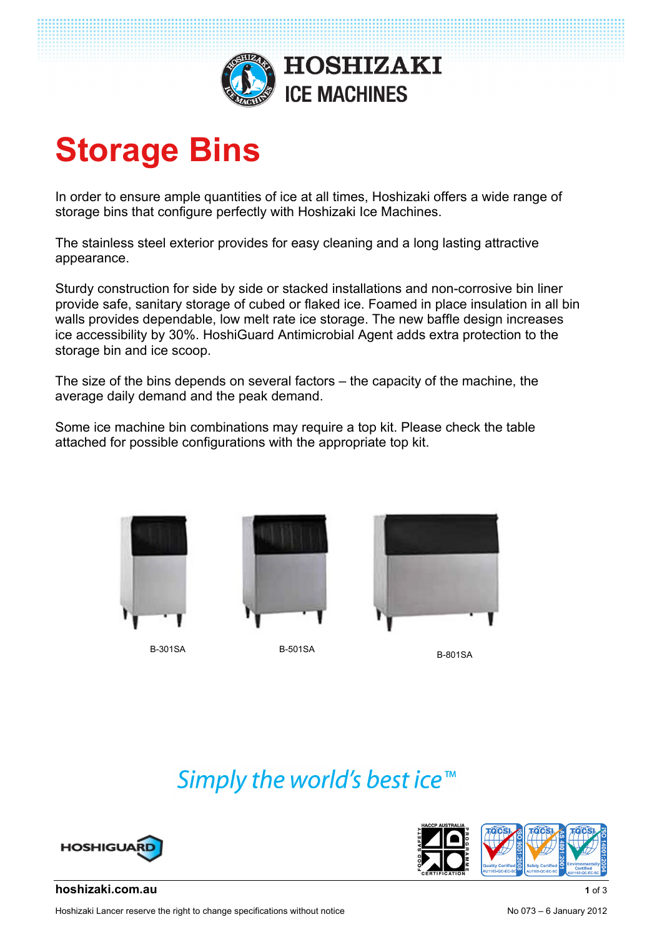

# **Storage Bins**

In order to ensure ample quantities of ice at all times, Hoshizaki offers a wide range of storage bins that configure perfectly with Hoshizaki Ice Machines.

The stainless steel exterior provides for easy cleaning and a long lasting attractive appearance.

Sturdy construction for side by side or stacked installations and non-corrosive bin liner provide safe, sanitary storage of cubed or flaked ice. Foamed in place insulation in all bin walls provides dependable, low melt rate ice storage. The new baffle design increases ice accessibility by 30%. HoshiGuard Antimicrobial Agent adds extra protection to the storage bin and ice scoop.

The size of the bins depends on several factors – the capacity of the machine, the average daily demand and the peak demand.

Some ice machine bin combinations may require a top kit. Please check the table attached for possible configurations with the appropriate top kit.





B-301SA B-501SA B-801SA



Simply the world's best ice<sup>™</sup>





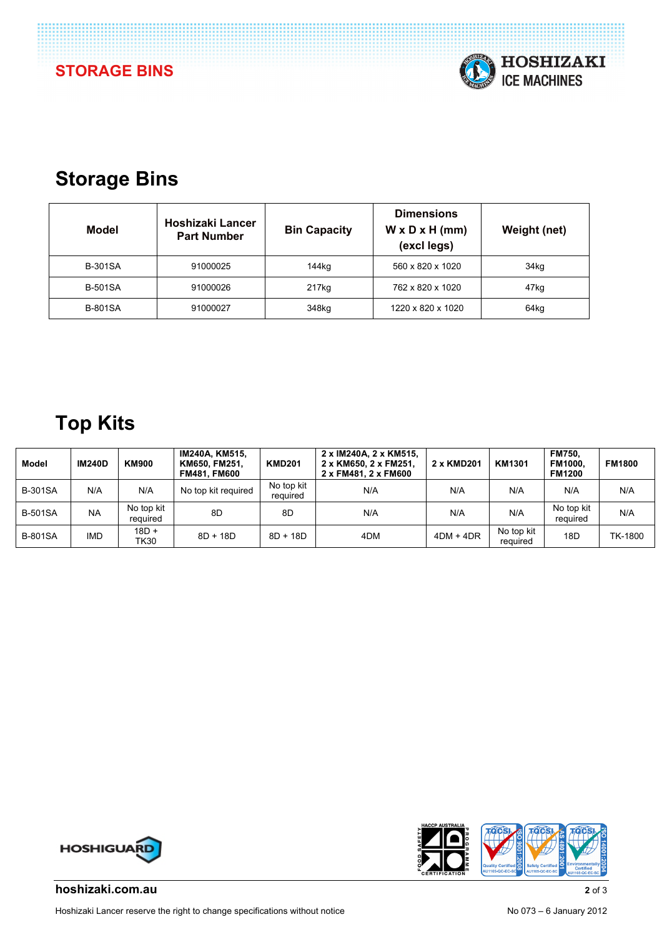

## **Storage Bins**

| Model          | Hoshizaki Lancer<br><b>Part Number</b> | <b>Bin Capacity</b> | <b>Dimensions</b><br>$W \times D \times H$ (mm)<br>(excl legs) | Weight (net) |
|----------------|----------------------------------------|---------------------|----------------------------------------------------------------|--------------|
| <b>B-301SA</b> | 91000025                               | 144kg               | 560 x 820 x 1020                                               | 34kg         |
| <b>B-501SA</b> | 91000026                               | 217kg               | 762 x 820 x 1020                                               | 47kg         |
| <b>B-801SA</b> | 91000027                               | 348kg               | 1220 x 820 x 1020                                              | 64kg         |

## **Top Kits**

| Model          | <b>IM240D</b> | <b>KM900</b>           | IM240A, KM515,<br>KM650, FM251,<br><b>FM481. FM600</b> | <b>KMD201</b>          | 2 x IM240A, 2 x KM515,<br>2 x KM650, 2 x FM251,<br>2 x FM481, 2 x FM600 | 2 x KMD201 | KM1301                 | <b>FM750.</b><br>FM1000.<br><b>FM1200</b> | <b>FM1800</b> |
|----------------|---------------|------------------------|--------------------------------------------------------|------------------------|-------------------------------------------------------------------------|------------|------------------------|-------------------------------------------|---------------|
| <b>B-301SA</b> | N/A           | N/A                    | No top kit required                                    | No top kit<br>required | N/A                                                                     | N/A        | N/A                    | N/A                                       | N/A           |
| <b>B-501SA</b> | <b>NA</b>     | No top kit<br>reauired | 8D                                                     | 8D                     | N/A                                                                     | N/A        | N/A                    | No top kit<br>reguired                    | N/A           |
| <b>B-801SA</b> | <b>IMD</b>    | $18D +$<br>TK30        | $8D + 18D$                                             | $8D + 18D$             | 4DM                                                                     | 4DM + 4DR  | No top kit<br>required | 18D                                       | TK-1800       |